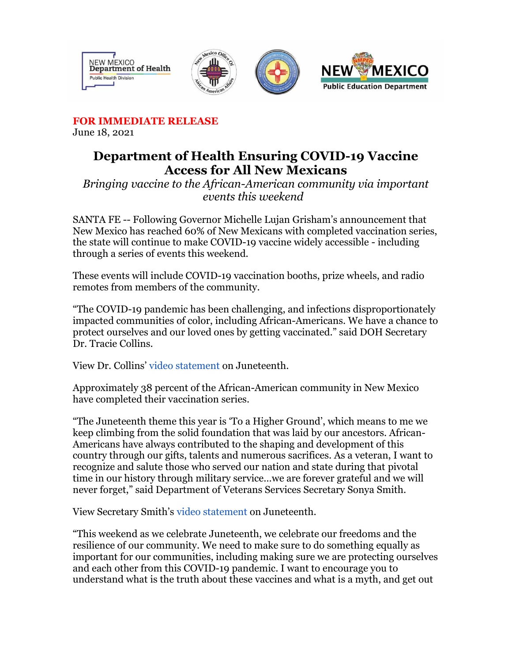

**FOR IMMEDIATE RELEASE**

June 18, 2021

## **Department of Health Ensuring COVID-19 Vaccine Access for All New Mexicans**

*Bringing vaccine to the African-American community via important events this weekend*

SANTA FE -- Following Governor Michelle Lujan Grisham's announcement that New Mexico has reached 60% of New Mexicans with completed vaccination series, the state will continue to make COVID-19 vaccine widely accessible - including through a series of events this weekend.

These events will include COVID-19 vaccination booths, prize wheels, and radio remotes from members of the community.

"The COVID-19 pandemic has been challenging, and infections disproportionately impacted communities of color, including African-Americans. We have a chance to protect ourselves and our loved ones by getting vaccinated." said DOH Secretary Dr. Tracie Collins.

View Dr. Collins' [video statement](https://r20.rs6.net/tn.jsp?f=001kwGbLJoRdpvk8OIAiJXx0-batGHjKZ4uPYVAwa0cf_iBHxkhQEk-39Am59r_C-QxhT3FTNXEmaG9LNGpMUayeE9Q9shGxYWu5cmRXD8xZZ5zRPu50et-gqZIw71C8q3m-lNJ-rbQdZD7U30x78bQwOaHsx8VkETSCTWnkQBSwMBJMMwK2MpAgw==&c=XQphvfr7RLXKHEhWptgoAaXwsCC2byzRbIS5hQ9NNnf5S1-m4KUWTg==&ch=fBKYYtn7Pc5MYUlBX69HaSLAIIfFlX7Sx5ifE5cL6sVrn08wdRLeSg==) on Juneteenth.

Approximately 38 percent of the African-American community in New Mexico have completed their vaccination series.

"The Juneteenth theme this year is 'To a Higher Ground', which means to me we keep climbing from the solid foundation that was laid by our ancestors. African-Americans have always contributed to the shaping and development of this country through our gifts, talents and numerous sacrifices. As a veteran, I want to recognize and salute those who served our nation and state during that pivotal time in our history through military service…we are forever grateful and we will never forget," said Department of Veterans Services Secretary Sonya Smith.

View Secretary Smith's [video statement](https://r20.rs6.net/tn.jsp?f=001kwGbLJoRdpvk8OIAiJXx0-batGHjKZ4uPYVAwa0cf_iBHxkhQEk-39Am59r_C-QxE_rTvPF-wtxgiDIWgJYxZXNL16kSXZy9ocB3j7FUTZgUAuUGbeA8qqd4hBciSk2PQa78NPRtqG27xUkuH2JYvN0Q3ZJZHFZabtdr09_9pzljt_PfKCIZQH42i_8thnXFYqgsOtJppSg1nVz_cSkIkb9ek_ttqVPXBMpDSylQaYxfd-A4q8ARd31_HJZZOGK3&c=XQphvfr7RLXKHEhWptgoAaXwsCC2byzRbIS5hQ9NNnf5S1-m4KUWTg==&ch=fBKYYtn7Pc5MYUlBX69HaSLAIIfFlX7Sx5ifE5cL6sVrn08wdRLeSg==) on Juneteenth.

"This weekend as we celebrate Juneteenth, we celebrate our freedoms and the resilience of our community. We need to make sure to do something equally as important for our communities, including making sure we are protecting ourselves and each other from this COVID-19 pandemic. I want to encourage you to understand what is the truth about these vaccines and what is a myth, and get out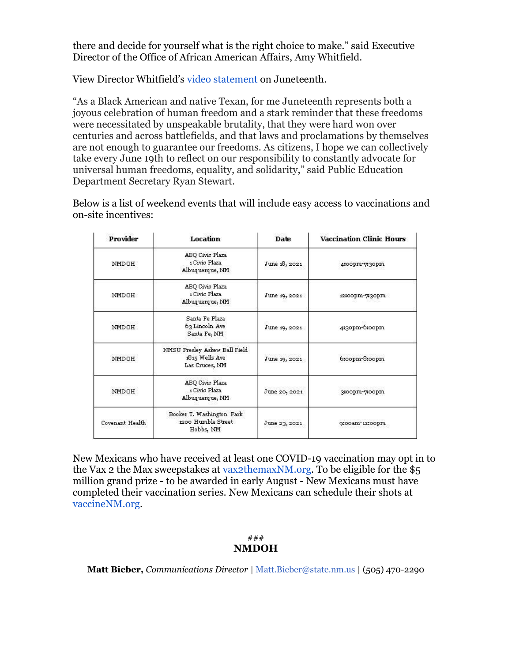there and decide for yourself what is the right choice to make." said Executive Director of the Office of African American Affairs, Amy Whitfield.

View Director Whitfield's [video statement](https://r20.rs6.net/tn.jsp?f=001kwGbLJoRdpvk8OIAiJXx0-batGHjKZ4uPYVAwa0cf_iBHxkhQEk-39Am59r_C-Qxo7KVA9ZAwWHHduplxj6im8a_4QcMH-F0shGtM3rae93s7PaiDCABeElTrAVLRscT5PhnlSNusITVayBAliQ2Uih4kU15GJsMhjgEIUkGvLDA3uCD-0uwmQ==&c=XQphvfr7RLXKHEhWptgoAaXwsCC2byzRbIS5hQ9NNnf5S1-m4KUWTg==&ch=fBKYYtn7Pc5MYUlBX69HaSLAIIfFlX7Sx5ifE5cL6sVrn08wdRLeSg==) on Juneteenth.

"As a Black American and native Texan, for me Juneteenth represents both a joyous celebration of human freedom and a stark reminder that these freedoms were necessitated by unspeakable brutality, that they were hard won over centuries and across battlefields, and that laws and proclamations by themselves are not enough to guarantee our freedoms. As citizens, I hope we can collectively take every June 19th to reflect on our responsibility to constantly advocate for universal human freedoms, equality, and solidarity," said Public Education Department Secretary Ryan Stewart.

Below is a list of weekend events that will include easy access to vaccinations and on-site incentives:

| Provider        | <b>Location</b>                                                   | Date           | <b>Vaccination Clinic Hours</b> |
|-----------------|-------------------------------------------------------------------|----------------|---------------------------------|
| NMDOH           | ABQ Civic Plaza<br>1 Civic Plaza<br>Albuquerque, NM               | June 18, 2021  | 4:00pm-730pm                    |
| <b>NMDOH</b>    | ABQ Civic Plaza<br>1 Civic Plaza<br>Albuquerque, NM               | June 19, 2021  | 12:00pm-730pm                   |
| NMDOH           | Santa Fe Plaza<br>63 Lincoln Ave<br>Santa Fe, NII                 | June 19, 2021. | 4:30pm-6:00pm                   |
| <b>NMDOH</b>    | NMSU Presley Askew Ball Field<br>1815 Wells Ave<br>Las Cruces, NM | June 19, 2021  | 6:00pm-8:00pm                   |
| NMDOH           | ABQ Civic Plaza<br>1 Civic Plaza<br>Albuquerque, NM               | June 20, 2021  | 3:00pm-7:00pm                   |
| Covenant Health | Booker T. Washington Park<br>1200 Humble Street<br>Hobbs, NH      | June 23, 2021  | 9:00am-12:00pm                  |

New Mexicans who have received at least one COVID-19 vaccination may opt in to the Vax 2 the Max sweepstakes at [vax2themaxNM.org.](https://r20.rs6.net/tn.jsp?f=001kwGbLJoRdpvk8OIAiJXx0-batGHjKZ4uPYVAwa0cf_iBHxkhQEk-34QPI-w9mrePCJyoG6CRBy0YwlczV9qelG8sZvC5JQqWlScX3RSdNOJtTIkF-rZecemkgKu9zb-nJdP2S_9FgwooUO2M5M75UA==&c=XQphvfr7RLXKHEhWptgoAaXwsCC2byzRbIS5hQ9NNnf5S1-m4KUWTg==&ch=fBKYYtn7Pc5MYUlBX69HaSLAIIfFlX7Sx5ifE5cL6sVrn08wdRLeSg==) To be eligible for the \$5 million grand prize - to be awarded in early August - New Mexicans must have completed their vaccination series. New Mexicans can schedule their shots at [vaccineNM.org.](https://r20.rs6.net/tn.jsp?f=001kwGbLJoRdpvk8OIAiJXx0-batGHjKZ4uPYVAwa0cf_iBHxkhQEk-31uyu2Ksx1ScnpvBzeW35Ewz_d2Wa2OL6vNTD5YFxLORmQMlMrs7RNvHywi3StCfTwQEVZgWgFR8tgto_7lAGuk=&c=XQphvfr7RLXKHEhWptgoAaXwsCC2byzRbIS5hQ9NNnf5S1-m4KUWTg==&ch=fBKYYtn7Pc5MYUlBX69HaSLAIIfFlX7Sx5ifE5cL6sVrn08wdRLeSg==)

## ### **NMDOH**

**Matt Bieber,** *Communications Director* | [Matt.Bieber@state.nm.us](mailto:Matt.Bieber@state.nm.us) | (505) 470-2290